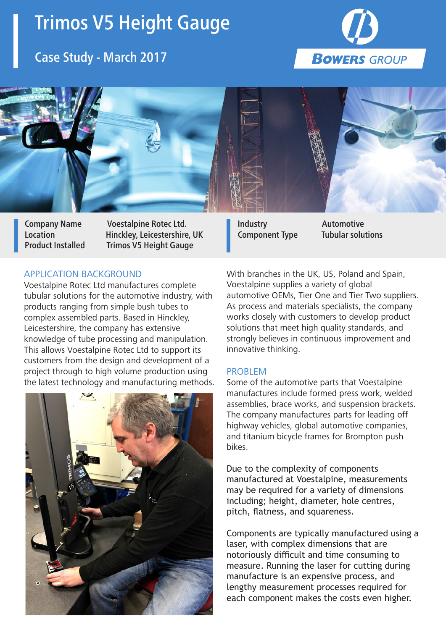# Trimos V5 Height Gauge

# Case Study - March 2017





Company Name Voestalpine Rotec Ltd. Location Hinckley, Leicestershire, UK Product Installed Trimos V5 Height Gauge

### APPLICATION BACKGROUND

Voestalpine Rotec Ltd manufactures complete tubular solutions for the automotive industry, with products ranging from simple bush tubes to complex assembled parts. Based in Hinckley, Leicestershire, the company has extensive knowledge of tube processing and manipulation. This allows Voestalpine Rotec Ltd to support its customers from the design and development of a project through to high volume production using the latest technology and manufacturing methods.



With branches in the UK, US, Poland and Spain, Voestalpine supplies a variety of global automotive OEMs, Tier One and Tier Two suppliers. As process and materials specialists, the company works closely with customers to develop product solutions that meet high quality standards, and strongly believes in continuous improvement and

Industry Automotive Component Type Tubular solutions

#### PROBLEM

innovative thinking.

Some of the automotive parts that Voestalpine manufactures include formed press work, welded assemblies, brace works, and suspension brackets. The company manufactures parts for leading off highway vehicles, global automotive companies, and titanium bicycle frames for Brompton push bikes.

Due to the complexity of components manufactured at Voestalpine, measurements may be required for a variety of dimensions including; height, diameter, hole centres, pitch, flatness, and squareness.

Components are typically manufactured using a laser, with complex dimensions that are notoriously difficult and time consuming to measure. Running the laser for cutting during manufacture is an expensive process, and lengthy measurement processes required for each component makes the costs even higher.